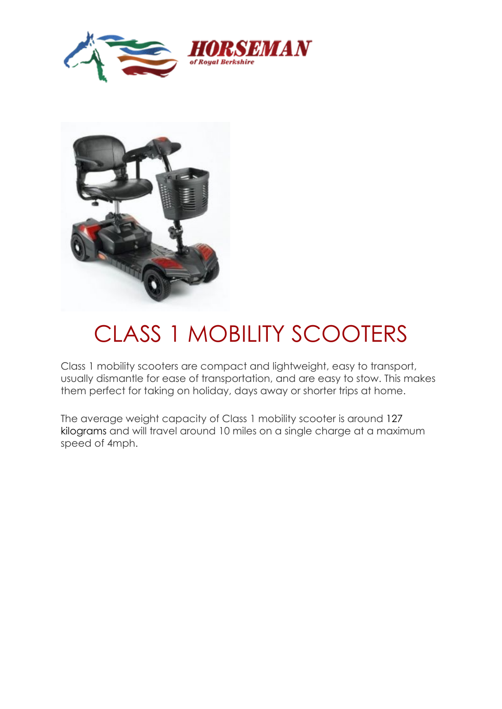



## CLASS 1 MOBILITY SCOOTERS

Class 1 mobility scooters are compact and lightweight, easy to transport, usually dismantle for ease of transportation, and are easy to stow. This makes them perfect for taking on holiday, days away or shorter trips at home.

The average weight capacity of Class 1 mobility scooter is around 127 kilograms and will travel around 10 miles on a single charge at a maximum speed of 4mph.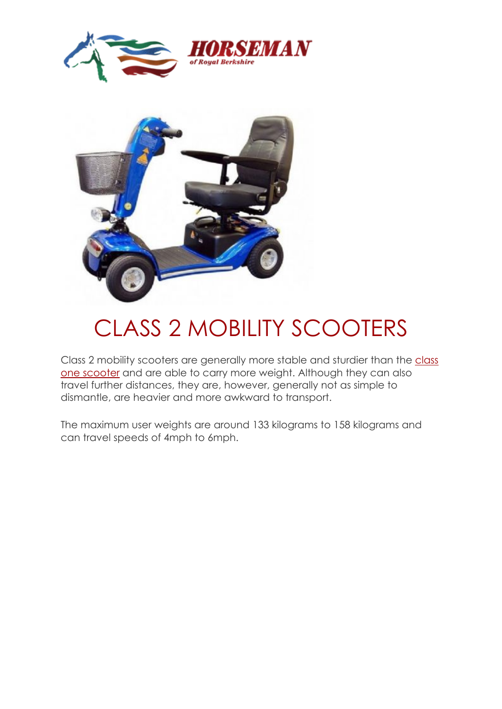



# CLASS 2 MOBILITY SCOOTERS

Class 2 mobility scooters are generally more stable and sturdier than the class [one scooter](http://www.mobilitymaster.co.uk/class-1-mobility-scooters-barnsley.asp) and are able to carry more weight. Although they can also travel further distances, they are, however, generally not as simple to dismantle, are heavier and more awkward to transport.

The maximum user weights are around 133 kilograms to 158 kilograms and can travel speeds of 4mph to 6mph.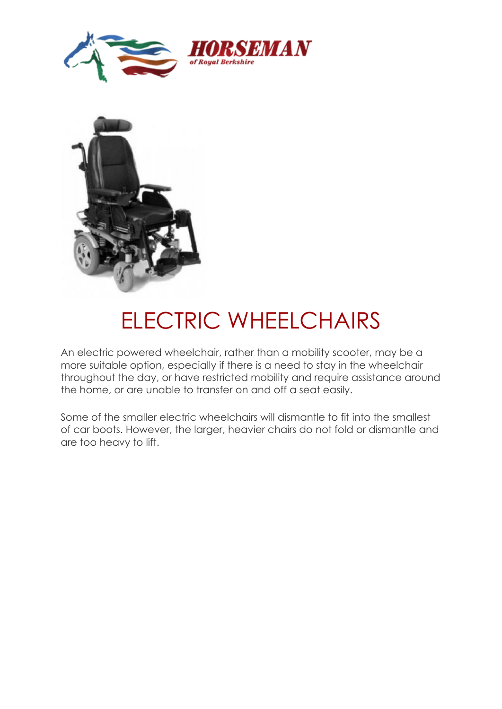



### ELECTRIC WHEELCHAIRS

An electric powered wheelchair, rather than a mobility scooter, may be a more suitable option, especially if there is a need to stay in the wheelchair throughout the day, or have restricted mobility and require assistance around the home, or are unable to transfer on and off a seat easily.

Some of the smaller electric wheelchairs will dismantle to fit into the smallest of car boots. However, the larger, heavier chairs do not fold or dismantle and are too heavy to lift.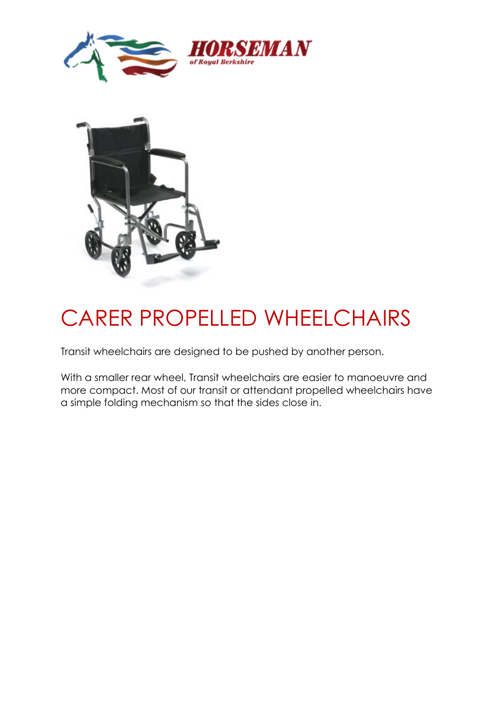



### CARER PROPELLED WHEELCHAIRS

Transit wheelchairs are designed to be pushed by another person.

With a smaller rear wheel, Transit wheelchairs are easier to manoeuvre and more compact. Most of our transit or attendant propelled wheelchairs have a simple folding mechanism so that the sides close in.